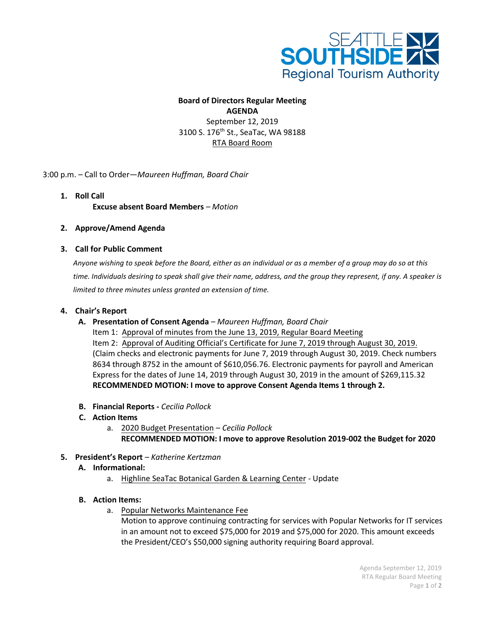

## **Board of Directors Regular Meeting AGENDA** September 12, 2019 3100 S. 176<sup>th</sup> St., SeaTac, WA 98188

RTA Board Room

3:00 p.m. – Call to Order—*Maureen Huffman, Board Chair*

- **1. Roll Call Excuse absent Board Members** *– Motion*
- **2. Approve/Amend Agenda**

## **3. Call for Public Comment**

*Anyone wishing to speak before the Board, either as an individual or as a member of a group may do so at this time. Individuals desiring to speak shall give their name, address, and the group they represent, if any. A speaker is limited to three minutes unless granted an extension of time.*

### **4. Chair's Report**

- **A. Presentation of Consent Agenda**  *Maureen Huffman, Board Chair* Item 1: Approval of minutes from the June 13, 2019, Regular Board Meeting Item 2: Approval of Auditing Official's Certificate for June 7, 2019 through August 30, 2019. (Claim checks and electronic payments for June 7, 2019 through August 30, 2019. Check numbers 8634 through 8752 in the amount of \$610,056.76. Electronic payments for payroll and American Express for the dates of June 14, 2019 through August 30, 2019 in the amount of \$269,115.32 **RECOMMENDED MOTION: I move to approve Consent Agenda Items 1 through 2.**
- **B. Financial Reports** *Cecilia Pollock*
- **C. Action Items**
	- a. 2020 Budget Presentation *Cecilia Pollock*
		- **RECOMMENDED MOTION: I move to approve Resolution 2019-002 the Budget for 2020**
- **5. President's Report**  *Katherine Kertzman*
	- **A. Informational:**
		- a. Highline SeaTac Botanical Garden & Learning Center Update

#### **B. Action Items:**

a. Popular Networks Maintenance Fee

Motion to approve continuing contracting for services with Popular Networks for IT services in an amount not to exceed \$75,000 for 2019 and \$75,000 for 2020. This amount exceeds the President/CEO's \$50,000 signing authority requiring Board approval.